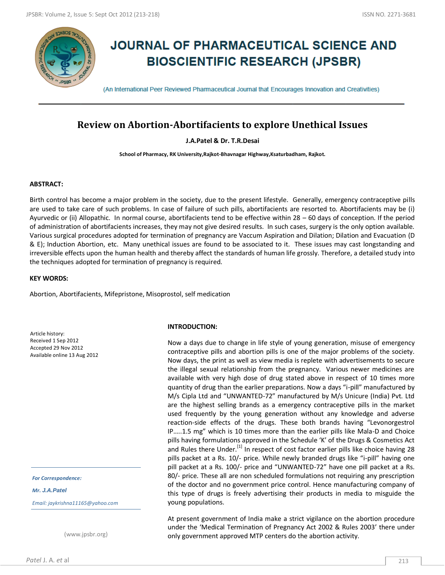

# **JOURNAL OF PHARMACEUTICAL SCIENCE AND BIOSCIENTIFIC RESEARCH (JPSBR)**

(An International Peer Reviewed Pharmaceutical Journal that Encourages Innovation and Creativities)

# **Review on Abortion-Abortifacients to explore Unethical Issues**

**J.A.Patel & Dr. T.R.Desai**

**School of Pharmacy, RK University,Rajkot-Bhavnagar Highway,Ksaturbadham, Rajkot.**

## **ABSTRACT:**

Birth control has become a major problem in the society, due to the present lifestyle. Generally, emergency contraceptive pills are used to take care of such problems. In case of failure of such pills, abortifacients are resorted to. Abortifacients may be (i) Ayurvedic or (ii) Allopathic. In normal course, abortifacients tend to be effective within 28 – 60 days of conception. If the period of administration of abortifacients increases, they may not give desired results. In such cases, surgery is the only option available. Various surgical procedures adopted for termination of pregnancy are Vaccum Aspiration and Dilation; Dilation and Evacuation (D & E); Induction Abortion, etc. Many unethical issues are found to be associated to it. These issues may cast longstanding and irreversible effects upon the human health and thereby affect the standards of human life grossly. Therefore, a detailed study into the techniques adopted for termination of pregnancy is required.

#### **KEY WORDS:**

Abortion, Abortifacients, Mifepristone, Misoprostol, self medication

Article history: Received 1 Sep 2012 Accepted 29 Nov 2012 Available online 13 Aug 2012

*For Correspondence:*

*Mr. J.A.Patel*

*Email: jaykrishna11165@yahoo.com*

(www.jpsbr.org)

#### **INTRODUCTION:**

Now a days due to change in life style of young generation, misuse of emergency contraceptive pills and abortion pills is one of the major problems of the society. Now days, the print as well as view media is replete with advertisements to secure the illegal sexual relationship from the pregnancy. Various newer medicines are available with very high dose of drug stated above in respect of 10 times more quantity of drug than the earlier preparations. Now a days "i-pill" manufactured by M/s Cipla Ltd and "UNWANTED-72" manufactured by M/s Unicure (India) Pvt. Ltd are the highest selling brands as a emergency contraceptive pills in the market used frequently by the young generation without any knowledge and adverse reaction-side effects of the drugs. These both brands having "Levonorgestrol IP…..1.5 mg" which is 10 times more than the earlier pills like Mala-D and Choice pills having formulations approved in the Schedule 'K' of the Drugs & Cosmetics Act and Rules there Under. $^{[1]}$  In respect of cost factor earlier pills like choice having 28 pills packet at a Rs. 10/- price. While newly branded drugs like "i-pill" having one pill packet at a Rs. 100/- price and "UNWANTED-72" have one pill packet at a Rs. 80/- price. These all are non scheduled formulations not requiring any prescription of the doctor and no government price control. Hence manufacturing company of this type of drugs is freely advertising their products in media to misguide the young populations.

At present government of India make a strict vigilance on the abortion procedure under the 'Medical Termination of Pregnancy Act 2002 & Rules 2003' there under only government approved MTP centers do the abortion activity.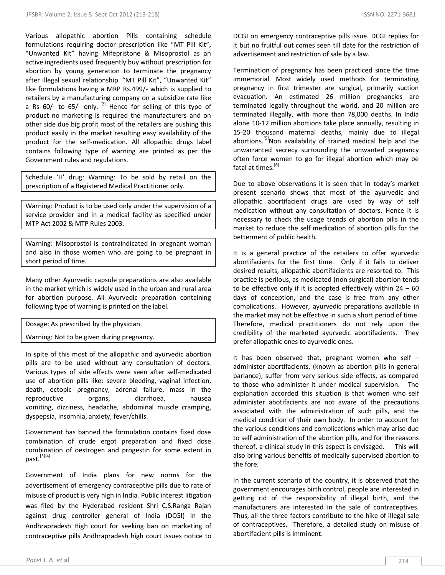Various allopathic abortion Pills containing schedule formulations requiring doctor prescription like "MT Pill Kit", "Unwanted Kit" having Mifepristone & Misoprostol as an active ingredients used frequently buy without prescription for abortion by young generation to terminate the pregnancy after illegal sexual relationship. "MT Pill Kit", "Unwanted Kit" like formulations having a MRP Rs.499/- which is supplied to retailers by a manufacturing company on a subsidize rate like a Rs  $60$ /- to  $65$ /- only.  $^{[2]}$  Hence for selling of this type of product no marketing is required the manufacturers and on other side due big profit most of the retailers are pushing this product easily in the market resulting easy availability of the product for the self-medication. All allopathic drugs label contains following type of warning are printed as per the Government rules and regulations.

Schedule 'H' drug: Warning: To be sold by retail on the prescription of a Registered Medical Practitioner only.

Warning: Product is to be used only under the supervision of a service provider and in a medical facility as specified under MTP Act 2002 & MTP Rules 2003.

Warning: Misoprostol is contraindicated in pregnant woman and also in those women who are going to be pregnant in short period of time.

Many other Ayurvedic capsule preparations are also available in the market which is widely used in the urban and rural area for abortion purpose. All Ayurvedic preparation containing following type of warning is printed on the label.

Dosage: As prescribed by the physician.

Warning: Not to be given during pregnancy.

In spite of this most of the allopathic and ayurvedic abortion pills are to be used without any consultation of doctors. Various types of side effects were seen after self-medicated use of abortion pills like: severe bleeding, vaginal infection, death, ectopic pregnancy, adrenal failure, mass in the reproductive organs, diarrhoea, nausea vomiting, dizziness, headache, abdominal muscle cramping, dyspepsia, insomnia, anxiety, fever/chills.

Government has banned the formulation contains fixed dose combination of crude ergot preparation and fixed dose combination of oestrogen and progestin for some extent in  $past.$ <sup>[3][4]</sup>

Government of India plans for new norms for the advertisement of emergency contraceptive pills due to rate of misuse of product is very high in India. Public interest litigation was filed by the Hyderabad resident Shri C.S.Ranga Rajan against drug controller general of India (DCGI) in the Andhrapradesh High court for seeking ban on marketing of contraceptive pills Andhrapradesh high court issues notice to

DCGI on emergency contraceptive pills issue. DCGI replies for it but no fruitful out comes seen till date for the restriction of advertisement and restriction of sale by a law.

Termination of pregnancy has been practiced since the time immemorial. Most widely used methods for terminating pregnancy in first trimester are surgical, primarily suction evacuation. An estimated 26 million pregnancies are terminated legally throughout the world, and 20 million are terminated illegally, with more than 78,000 deaths. In India alone 10-12 million abortions take place annually, resulting in 15-20 thousand maternal deaths, mainly due to illegal abortions.<sup>[5]</sup>Non availability of trained medical help and the unwarranted secrecy surrounding the unwanted pregnancy often force women to go for illegal abortion which may be fatal at times.<sup>[6]</sup>

Due to above observations it is seen that in today's market present scenario shows that most of the ayurvedic and allopathic abortifacient drugs are used by way of self medication without any consultation of doctors. Hence it is necessary to check the usage trends of abortion pills in the market to reduce the self medication of abortion pills for the betterment of public health.

It is a general practice of the retailers to offer ayurvedic abortifacients for the first time. Only if it fails to deliver desired results, allopathic abortifacients are resorted to. This practice is perilous, as medicated (non surgical) abortion tends to be effective only if it is adopted effectively within  $24 - 60$ days of conception, and the case is free from any other complications. However, ayurvedic preparations available in the market may not be effective in such a short period of time. Therefore, medical practitioners do not rely upon the credibility of the marketed ayurvedic abortifacients. They prefer allopathic ones to ayurvedic ones.

It has been observed that, pregnant women who self – administer abortifacients, (known as abortion pills in general parlance), suffer from very serious side effects, as compared to those who administer it under medical supervision. The explanation accorded this situation is that women who self administer abotifacients are not aware of the precautions associated with the administration of such pills, and the medical condition of their own body. In order to account for the various conditions and complications which may arise due to self administration of the abortion pills, and for the reasons thereof, a clinical study in this aspect is envisaged. This will also bring various benefits of medically supervised abortion to the fore.

In the current scenario of the country, it is observed that the government encourages birth control, people are interested in getting rid of the responsibility of illegal birth, and the manufacturers are interested in the sale of contraceptives. Thus, all the three factors contribute to the hike of illegal sale of contraceptives. Therefore, a detailed study on misuse of abortifacient pills is imminent.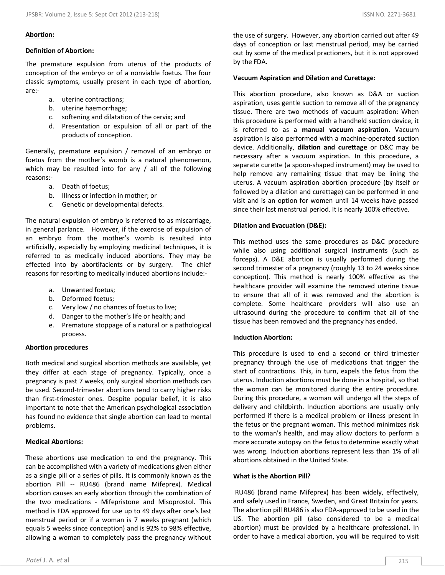#### **Abortion:**

#### **Definition of Abortion:**

The premature expulsion from uterus of the products of conception of the embryo or of a nonviable foetus. The four classic symptoms, usually present in each type of abortion, are:-

- a. uterine contractions;
- b. uterine haemorrhage;
- c. softening and dilatation of the cervix; and
- d. Presentation or expulsion of all or part of the products of conception.

Generally, premature expulsion / removal of an embryo or foetus from the mother's womb is a natural phenomenon, which may be resulted into for any / all of the following reasons:-

- a. Death of foetus;
- b. Illness or infection in mother; or
- c. Genetic or developmental defects.

The natural expulsion of embryo is referred to as miscarriage, in general parlance. However, if the exercise of expulsion of an embryo from the mother's womb is resulted into artificially, especially by employing medicinal techniques, it is referred to as medically induced abortions. They may be effected into by abortifacients or by surgery. The chief reasons for resorting to medically induced abortions include:-

- a. Unwanted foetus;
- b. Deformed foetus;
- c. Very low / no chances of foetus to live;
- d. Danger to the mother's life or health; and
- e. Premature stoppage of a natural or a pathological process.

#### **Abortion procedures**

Both medical and surgical abortion methods are available, yet they differ at each stage of pregnancy. Typically, once a pregnancy is past 7 weeks, only surgical abortion methods can be used. Second-trimester abortions tend to carry higher risks than first-trimester ones. Despite popular belief, it is also important to note that the American psychological association has found no evidence that single abortion can lead to mental problems.

#### **Medical Abortions:**

These abortions use medication to end the pregnancy. This can be accomplished with a variety of medications given either as a single pill or a series of pills. It is commonly known as the abortion Pill -- RU486 (brand name Mifeprex). Medical abortion causes an early abortion through the combination of the two medications - Mifepristone and Misoprostol. This method is FDA approved for use up to 49 days after one's last menstrual period or if a woman is 7 weeks pregnant (which equals 5 weeks since conception) and is 92% to 98% effective, allowing a woman to completely pass the pregnancy without

#### **Vacuum Aspiration and Dilation and Curettage:**

This abortion procedure, also known as D&A or suction aspiration, uses gentle suction to remove all of the pregnancy tissue. There are two methods of vacuum aspiration: When this procedure is performed with a handheld suction device, it is referred to as a **manual vacuum aspiration**. Vacuum aspiration is also performed with a machine-operated suction device. Additionally, **dilation and curettage** or D&C may be necessary after a vacuum aspiration. In this procedure, a separate curette (a spoon-shaped instrument) may be used to help remove any remaining tissue that may be lining the uterus. A vacuum aspiration abortion procedure (by itself or followed by a dilation and curettage) can be performed in one visit and is an option for women until 14 weeks have passed since their last menstrual period. It is nearly 100% effective.

#### **Dilation and Evacuation (D&E):**

This method uses the same procedures as D&C procedure while also using additional surgical instruments (such as forceps). A D&E abortion is usually performed during the second trimester of a pregnancy (roughly 13 to 24 weeks since conception). This method is nearly 100% effective as the healthcare provider will examine the removed uterine tissue to ensure that all of it was removed and the abortion is complete. Some healthcare providers will also use an ultrasound during the procedure to confirm that all of the tissue has been removed and the pregnancy has ended.

#### **Induction Abortion:**

This procedure is used to end a second or third trimester pregnancy through the use of medications that trigger the start of contractions. This, in turn, expels the fetus from the uterus. Induction abortions must be done in a hospital, so that the woman can be monitored during the entire procedure. During this procedure, a woman will undergo all the steps of delivery and childbirth. Induction abortions are usually only performed if there is a medical problem or illness present in the fetus or the pregnant woman. This method minimizes risk to the woman's health, and may allow doctors to perform a more accurate autopsy on the fetus to determine exactly what was wrong. Induction abortions represent less than 1% of all abortions obtained in the United State.

#### **What is the Abortion Pill?**

RU486 (brand name Mifeprex) has been widely, effectively, and safely used in France, Sweden, and Great Britain for years. The abortion pill RU486 is also FDA-approved to be used in the US. The abortion pill (also considered to be a medical abortion) must be provided by a healthcare professional. In order to have a medical abortion, you will be required to visit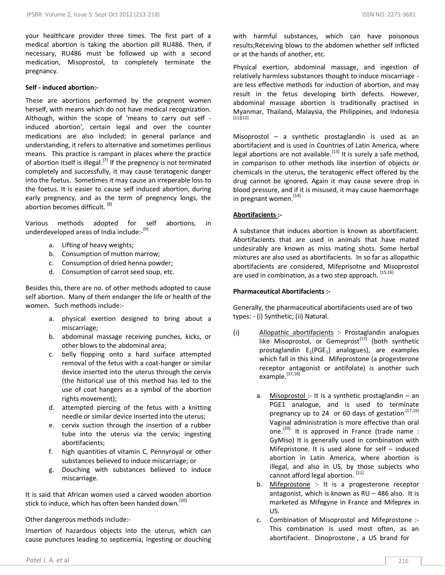your healthcare provider three times. The first part of a medical abortion is taking the abortion pill RU486. Then, if necessary, RU486 must be followed up with a second medication, Misoprostol, to completely terminate the pregnancy.

#### **Self - induced abortion:-**

These are abortions performed by the pregnent women herself, with means which do not have medical recognization. Although, within the scope of 'means to carry out self induced abortion', certain legal and over the counter medications are also included; in general parlance and understanding, it refers to alternative and sometimes perilious means. This practice is rampant in places where the practice of abortion itself is illegal.<sup>[7]</sup> If the pregnency is not terminated completely and successfully, it may cause teratogenic danger into the foetus. Sometimes it may cause an irreperable loss to the foetus. It is easier to cause self induced abortion, during early pregnency, and as the term of pregnency longs, the abortion becomes difficult.<sup>[8]</sup>

Various methods adopted for self abortions, in underdeveloped areas of India include:- [9]

- a. Lifting of heavy weights;
- b. Consumption of mutton marrow;
- c. Consumption of dried henna powder;
- d. Consumption of carrot seed soup, etc.

Besides this, there are no. of other methods adopted to cause self abortion. Many of them endanger the life or health of the women. Such methods include:-

- a. physical exertion designed to bring about a miscarriage;
- b. abdominal massage receiving punches, kicks, or other blows to the abdominal area;
- c. belly flopping onto a hard surface attempted removal of the fetus with a coat-hanger or similar device inserted into the uterus through the cervix (the historical use of this method has led to the use of coat hangers as a symbol of the abortion rights movement);
- d. attempted piercing of the fetus with a knitting needle or similar device inserted into the uterus;
- e. cervix suction through the insertion of a rubber tube into the uterus via the cervix; ingesting abortifacients;
- f. high quantities of vitamin C, Pennyroyal or other substances believed to induce miscarriage; or
- g. Douching with substances believed to induce miscarriage.

It is said that African women used a carved wooden abortion stick to induce, which has often been handed down.<sup>[\[10\]](http://en.wikipedia.org/wiki/Self-induced_abortion#cite_note-4)</sup>

Other dangerous methods include:-

Insertion of hazardous objects into the uterus, which can cause punctures leading to septicemia; Ingesting or douching

Physical exertion, abdominal massage, and ingestion of relatively harmless substances thought to induce miscarriage are less effective methods for induction of abortion, and may result in the fetus developing birth defects. However, abdominal massage abortion is traditionally practised in Myanmar, Thailand, Malaysia, the Philippines, and Indonesia  $[11][12]$ 

Misoprostol – a synthetic prostaglandin is used as an abortifacient and is used in Countries of Latin America, where legal abortions are not available.<sup>[13]</sup> It is surely a safe method, in comparison to other methods like insertion of objects or chemicals in the uterus, the teratogenic effect offered by the drug cannot be ignored. Again it may cause severe drop in blood pressure, and if it is misused, it may cause haemorrhage in pregnant women.<sup>[14]</sup>

# **Abortifacients :-**

A substance that induces abortion is known as abortifacient. Abortifacients that are used in animals that have mated undesirably are known as miss mating shots. Some herbal mixtures are also used as abortifacients. In so far as allopathic abortifacients are considered, Mifeprisotne and Misoprostol are used in combination, as a two step approach. [15,16]

## **Pharmaceutical Abortifacients :-**

Generally, the pharmaceutical abortifacients used are of two types: - (i) Synthetic; (ii) Natural.

- (i) Allopathic abortifacients :- Prostaglandin analogues  $\overline{\text{like}}$  Misoprostol, or Gemeprost<sup>[17]</sup> (both synthetic prostaglandin  $E_1(PGE_1)$  analogues), are examples which fall in this kind. Mifeprostone (a progesterone receptor antagonist or antifolate) is another such example. $^{[17,18]}$ 
	- a. Misoprostol :- It is a synthetic prostaglandin an PGE1 analogue, and is used to terminate pregnancy up to 24 or 60 days of gestation.<sup>[17,19]</sup> Vaginal administration is more effective than oral one.<sup>[20]</sup> It is approved in France (trade name : GyMiso) It is generally used in combination with Mifepristone. It is used alone for self – induced abortion in Latin America, where abortion is illegal, and also in US, by those subjects who cannot afford legal abortion. [21]
	- b. Mifeprostone :- It is a progesterone receptor antagonist, which is known as RU – 486 also. It is marketed as Mifegyne in France and Mifeprex in US.
	- c. Combination of Misoprostol and Mifeprostone :- This combination is used most often, as an abortifacient. Dinoprostone , a US brand for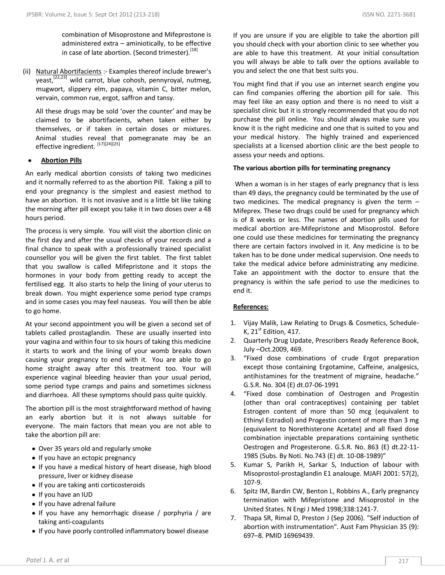combination of Misoprostone and Mifeprostone is administered extra – aminiotically, to be effective in case of late abortion. (Second trimester).<sup>[18]</sup>

(ii) Natural Abortifacients :- Examples thereof include brewer's yeast,<sup>[\[22,23\]](http://en.wikipedia.org/wiki/Abortifacient#cite_note-6)</sup> wild carrot, blue cohosh, pennyroyal, nutmeg, mugwort, slippery elm, papaya, vitamin C, bitter melon, vervain, common rue, ergot, saffron and tansy.

All these drugs may be sold 'over the counter' and may be claimed to be abortifacients, when taken either by themselves, or if taken in certain doses or mixtures. Animal studies reveal that pomegranate may be an effective ingredient.<sup>[17][24][25]</sup>

#### **Abortion Pills**

An early medical abortion consists of taking two medicines and it normally referred to as the abortion Pill. Taking a pill to end your pregnancy is the simplest and easiest method to have an abortion. It is not invasive and is a little bit like taking the morning after pill except you take it in two doses over a 48 hours period.

The process is very simple. You will visit the abortion clinic on the first day and after the usual checks of your records and a final chance to speak with a professionally trained specialist counsellor you will be given the first tablet. The first tablet that you swallow is called Mifepristone and it stops the hormones in your body from getting ready to accept the fertilised egg. It also starts to help the lining of your uterus to break down. You might experience some period type cramps and in some cases you may feel nauseas. You will then be able to go home.

At your second appointment you will be given a second set of tablets called prostaglandin. These are usually inserted into your vagina and within four to six hours of taking this medicine it starts to work and the lining of your womb breaks down causing your pregnancy to end with it. You are able to go home straight away after this treatment too. Your will experience vaginal bleeding heavier than your usual period, some period type cramps and pains and sometimes sickness and diarrhoea. All these symptoms should pass quite quickly.

The abortion pill is the most straightforward method of having an early abortion but it is not always suitable for everyone. The main factors that mean you are not able to take the abortion pill are:

- Over 35 years old and regularly smoke
- If you have an ectopic pregnancy
- If you have a medical history of heart disease, high blood pressure, liver or kidney disease
- If you are taking anti corticosteroids
- If you have an IUD
- If you have adrenal failure
- If you have any hemorrhagic disease / porphyria / are taking anti-coagulants
- If you have poorly controlled inflammatory bowel disease

If you are unsure if you are eligible to take the abortion pill you should check with your abortion clinic to see whether you are able to have this treatment. At your initial consultation you will always be able to talk over the options available to you and select the one that best suits you.

You might find that if you use an internet search engine you can find companies offering the abortion pill for sale. This may feel like an easy option and there is no need to visit a specialist clinic but it is strongly recommended that you do not purchase the pill online. You should always make sure you know it is the right medicine and one that is suited to you and your medical history. The highly trained and experienced specialists at a licensed abortion clinic are the best people to assess your needs and options.

#### **The various abortion pills for terminating pregnancy**

When a woman is in her stages of early pregnancy that is less than 49 days, the pregnancy could be terminated by the use of two medicines. The medical pregnancy is given the term – Mifeprex. These two drugs could be used for pregnancy which is of 8 weeks or less. The names of abortion pills used for medical abortion are-Mifepristone and Misoprostol. Before one could use these medicines for terminating the pregnancy there are certain factors involved in it. Any medicine is to be taken has to be done under medical supervision. One needs to take the medical advice before administrating any medicine. Take an appointment with the doctor to ensure that the pregnancy is within the safe period to use the medicines to end it.

#### **References:**

- 1. Vijay Malik, Law Relating to Drugs & Cosmetics, Schedule-K,  $21^{\text{st}}$  Edition, 417.
- 2. Quarterly Drug Update, Prescribers Ready Reference Book, July –Oct.2009, 469.
- 3. "Fixed dose combinations of crude Ergot preparation except those containing Ergotamine, Caffeine, analgesics, antihistamines for the treatment of migraine, headache." G.S.R. No. 304 (E) dt.07-06-1991
- 4. "Fixed dose combination of Oestrogen and Progestin (other than oral contraceptives) containing per tablet Estrogen content of more than 50 mcg (equivalent to Ethinyl Estradiol) and Progestin content of more than 3 mg (equivalent to Norethisterone Acetate) and all fixed dose combination injectable preparations containing synthetic Oestrogen and Progesterone. G.S.R. No. 863 (E) dt.22-11- 1985 (Subs. By Noti. No.743 (E) dt. 10-08-1989)"
- 5. Kumar S, Parikh H, Sarkar S, Induction of labour with Misoprostol-prostaglandin E1 analouge. MJAFI 2001: 57(2), 107-9.
- 6. Spitz IM, Bardin CW, Benton L, Robbins A., Early pregnancy termination with Mifepristone and Misoprostol in the United States. N Engi J Med 1998;338:1241-7.
- 7. Thapa SR, Rimal D, Preston J (Sep 2006). "Self induction of abortion with instrumentation". Aust Fam Physician 35 (9): 697–8. PMID 16969439.